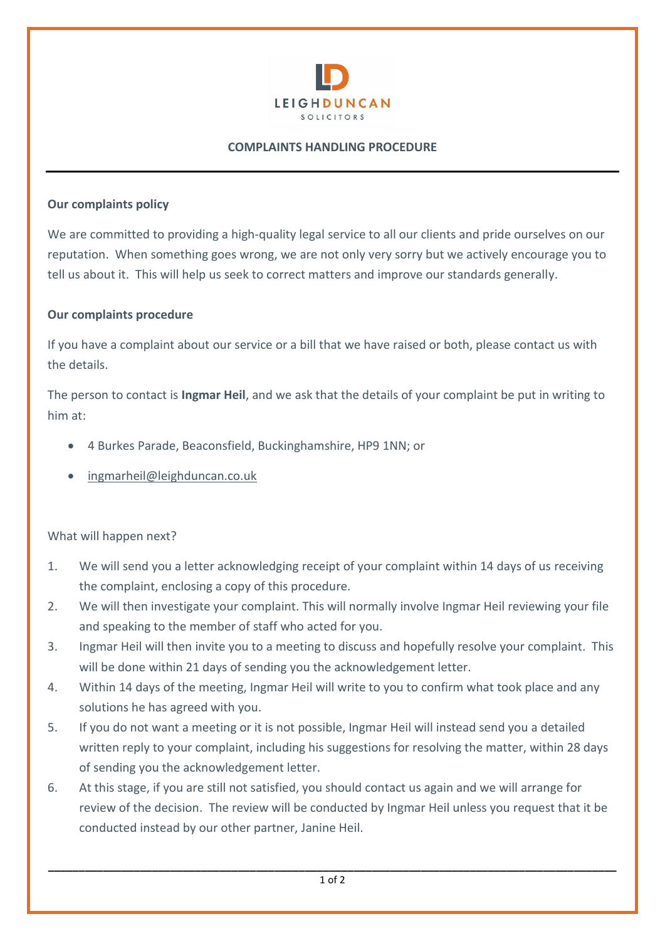

## **COMPLAINTS HANDLING PROCEDURE**

## **Our complaints policy**

We are committed to providing a high-quality legal service to all our clients and pride ourselves on our reputation. When something goes wrong, we are not only very sorry but we actively encourage you to tell us about it. This will help us seek to correct matters and improve our standards generally.

## **Our complaints procedure**

If you have a complaint about our service or a bill that we have raised or both, please contact us with the details.

The person to contact is **Ingmar Heil**, and we ask that the details of your complaint be put in writing to him at:

- 4 Burkes Parade, Beaconsfield, Buckinghamshire, HP9 1NN; or
- [ingmarheil@leighduncan.co.uk](mailto:ingmarheil@leighduncan.co.uk)

## What will happen next?

- 1. We will send you a letter acknowledging receipt of your complaint within 14 days of us receiving the complaint, enclosing a copy of this procedure.
- 2. We will then investigate your complaint. This will normally involve Ingmar Heil reviewing your file and speaking to the member of staff who acted for you.
- 3. Ingmar Heil will then invite you to a meeting to discuss and hopefully resolve your complaint. This will be done within 21 days of sending you the acknowledgement letter.
- 4. Within 14 days of the meeting, Ingmar Heil will write to you to confirm what took place and any solutions he has agreed with you.
- 5. If you do not want a meeting or it is not possible, Ingmar Heil will instead send you a detailed written reply to your complaint, including his suggestions for resolving the matter, within 28 days of sending you the acknowledgement letter.
- 6. At this stage, if you are still not satisfied, you should contact us again and we will arrange for review of the decision. The review will be conducted by Ingmar Heil unless you request that it be conducted instead by our other partner, Janine Heil.